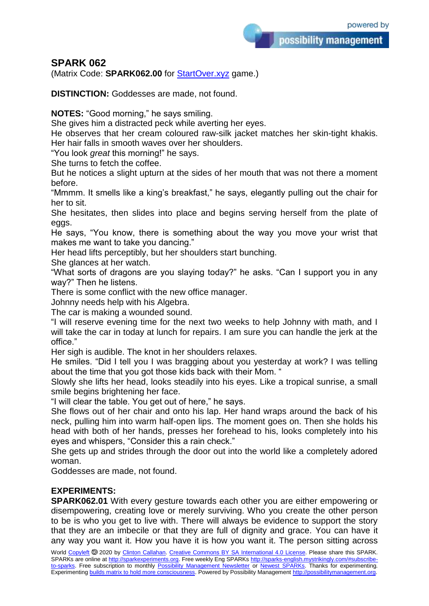## **SPARK 062**

(Matrix Code: **SPARK062.00** for [StartOver.xyz](https://startoverxyz.mystrikingly.com/) game.)

**DISTINCTION:** Goddesses are made, not found.

**NOTES:** "Good morning," he says smiling.

She gives him a distracted peck while averting her eyes.

He observes that her cream coloured raw-silk jacket matches her skin-tight khakis. Her hair falls in smooth waves over her shoulders.

"You look *great* this morning!" he says.

She turns to fetch the coffee.

But he notices a slight upturn at the sides of her mouth that was not there a moment before.

"Mmmm. It smells like a king's breakfast," he says, elegantly pulling out the chair for her to sit.

She hesitates, then slides into place and begins serving herself from the plate of eggs.

He says, "You know, there is something about the way you move your wrist that makes me want to take you dancing."

Her head lifts perceptibly, but her shoulders start bunching.

She glances at her watch.

"What sorts of dragons are you slaying today?" he asks. "Can I support you in any way?" Then he listens.

There is some conflict with the new office manager.

Johnny needs help with his Algebra.

The car is making a wounded sound.

"I will reserve evening time for the next two weeks to help Johnny with math, and I will take the car in today at lunch for repairs. I am sure you can handle the jerk at the office."

Her sigh is audible. The knot in her shoulders relaxes.

He smiles. "Did I tell you I was bragging about you yesterday at work? I was telling about the time that you got those kids back with their Mom. "

Slowly she lifts her head, looks steadily into his eyes. Like a tropical sunrise, a small smile begins brightening her face.

"I will clear the table. You get out of here," he says.

She flows out of her chair and onto his lap. Her hand wraps around the back of his neck, pulling him into warm half-open lips. The moment goes on. Then she holds his head with both of her hands, presses her forehead to his, looks completely into his eyes and whispers, "Consider this a rain check."

She gets up and strides through the door out into the world like a completely adored woman.

Goddesses are made, not found.

## **EXPERIMENTS:**

**SPARK062.01** With every gesture towards each other you are either empowering or disempowering, creating love or merely surviving. Who you create the other person to be is who you get to live with. There will always be evidence to support the story that they are an imbecile or that they are full of dignity and grace. You can have it any way you want it. How you have it is how you want it. The person sitting across